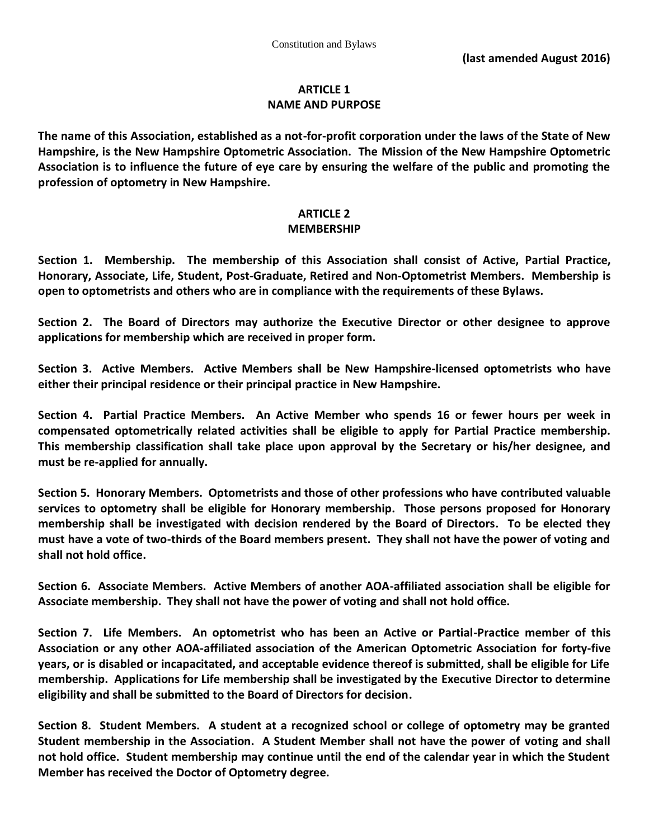#### **ARTICLE 1 NAME AND PURPOSE**

**The name of this Association, established as a not-for-profit corporation under the laws of the State of New Hampshire, is the New Hampshire Optometric Association. The Mission of the New Hampshire Optometric Association is to influence the future of eye care by ensuring the welfare of the public and promoting the profession of optometry in New Hampshire.**

# **ARTICLE 2**

#### **MEMBERSHIP**

**Section 1. Membership. The membership of this Association shall consist of Active, Partial Practice, Honorary, Associate, Life, Student, Post-Graduate, Retired and Non-Optometrist Members. Membership is open to optometrists and others who are in compliance with the requirements of these Bylaws.**

**Section 2. The Board of Directors may authorize the Executive Director or other designee to approve applications for membership which are received in proper form.**

**Section 3. Active Members. Active Members shall be New Hampshire-licensed optometrists who have either their principal residence or their principal practice in New Hampshire.**

**Section 4. Partial Practice Members. An Active Member who spends 16 or fewer hours per week in compensated optometrically related activities shall be eligible to apply for Partial Practice membership. This membership classification shall take place upon approval by the Secretary or his/her designee, and must be re-applied for annually.**

**Section 5. Honorary Members. Optometrists and those of other professions who have contributed valuable services to optometry shall be eligible for Honorary membership. Those persons proposed for Honorary membership shall be investigated with decision rendered by the Board of Directors. To be elected they must have a vote of two-thirds of the Board members present. They shall not have the power of voting and shall not hold office.**

**Section 6. Associate Members. Active Members of another AOA-affiliated association shall be eligible for Associate membership. They shall not have the power of voting and shall not hold office.** 

**Section 7. Life Members. An optometrist who has been an Active or Partial-Practice member of this Association or any other AOA-affiliated association of the American Optometric Association for forty-five years, or is disabled or incapacitated, and acceptable evidence thereof is submitted, shall be eligible for Life membership. Applications for Life membership shall be investigated by the Executive Director to determine eligibility and shall be submitted to the Board of Directors for decision.**

**Section 8. Student Members. A student at a recognized school or college of optometry may be granted Student membership in the Association. A Student Member shall not have the power of voting and shall not hold office. Student membership may continue until the end of the calendar year in which the Student Member has received the Doctor of Optometry degree.**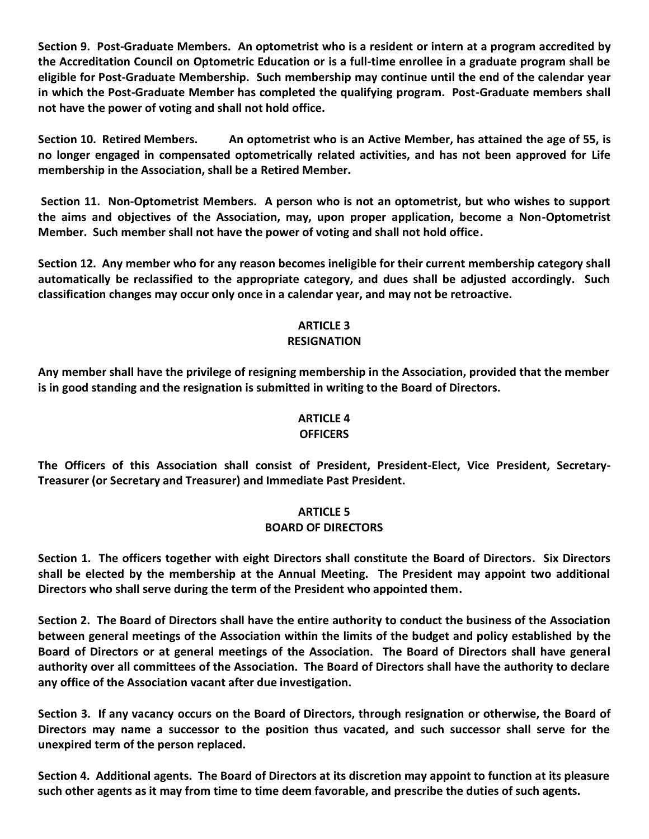**Section 9. Post-Graduate Members. An optometrist who is a resident or intern at a program accredited by the Accreditation Council on Optometric Education or is a full-time enrollee in a graduate program shall be eligible for Post-Graduate Membership. Such membership may continue until the end of the calendar year in which the Post-Graduate Member has completed the qualifying program. Post-Graduate members shall not have the power of voting and shall not hold office.**

**Section 10. Retired Members. An optometrist who is an Active Member, has attained the age of 55, is no longer engaged in compensated optometrically related activities, and has not been approved for Life membership in the Association, shall be a Retired Member.**

**Section 11. Non-Optometrist Members. A person who is not an optometrist, but who wishes to support the aims and objectives of the Association, may, upon proper application, become a Non-Optometrist Member. Such member shall not have the power of voting and shall not hold office.**

**Section 12. Any member who for any reason becomes ineligible for their current membership category shall automatically be reclassified to the appropriate category, and dues shall be adjusted accordingly. Such classification changes may occur only once in a calendar year, and may not be retroactive.**

# **ARTICLE 3**

# **RESIGNATION**

**Any member shall have the privilege of resigning membership in the Association, provided that the member is in good standing and the resignation is submitted in writing to the Board of Directors.**

# **ARTICLE 4**

#### **OFFICERS**

**The Officers of this Association shall consist of President, President-Elect, Vice President, Secretary-Treasurer (or Secretary and Treasurer) and Immediate Past President.**

# **ARTICLE 5 BOARD OF DIRECTORS**

**Section 1. The officers together with eight Directors shall constitute the Board of Directors. Six Directors shall be elected by the membership at the Annual Meeting. The President may appoint two additional Directors who shall serve during the term of the President who appointed them.**

**Section 2. The Board of Directors shall have the entire authority to conduct the business of the Association between general meetings of the Association within the limits of the budget and policy established by the Board of Directors or at general meetings of the Association. The Board of Directors shall have general authority over all committees of the Association. The Board of Directors shall have the authority to declare any office of the Association vacant after due investigation.**

**Section 3. If any vacancy occurs on the Board of Directors, through resignation or otherwise, the Board of Directors may name a successor to the position thus vacated, and such successor shall serve for the unexpired term of the person replaced.**

**Section 4. Additional agents. The Board of Directors at its discretion may appoint to function at its pleasure such other agents as it may from time to time deem favorable, and prescribe the duties of such agents.**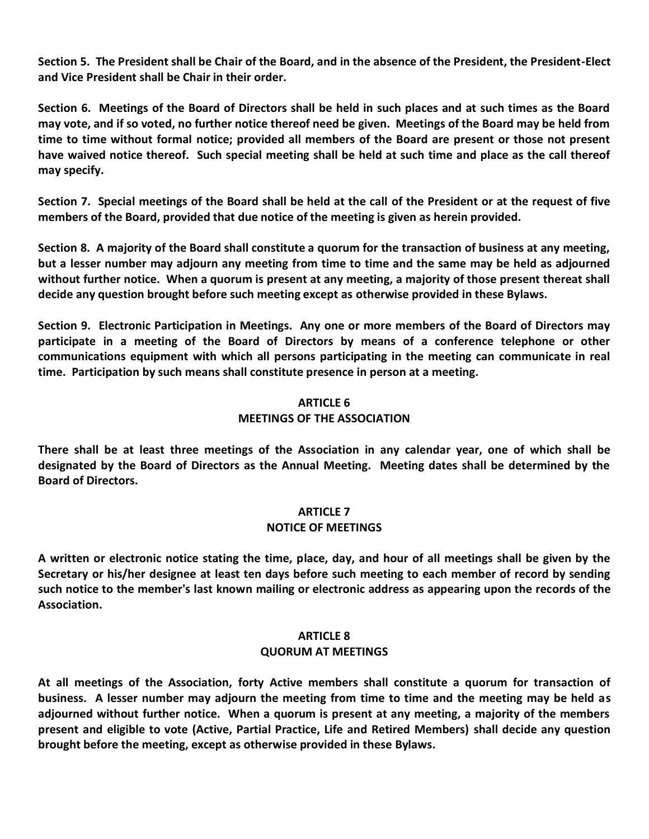**Section 5. The President shall be Chair of the Board, and in the absence of the President, the President-Elect and Vice President shall be Chair in their order.**

**Section 6. Meetings of the Board of Directors shall be held in such places and at such times as the Board may vote, and if so voted, no further notice thereof need be given. Meetings of the Board may be held from time to time without formal notice; provided all members of the Board are present or those not present have waived notice thereof. Such special meeting shall be held at such time and place as the call thereof may specify.**

**Section 7. Special meetings of the Board shall be held at the call of the President or at the request of five members of the Board, provided that due notice of the meeting is given as herein provided.**

**Section 8. A majority of the Board shall constitute a quorum for the transaction of business at any meeting, but a lesser number may adjourn any meeting from time to time and the same may be held as adjourned without further notice. When a quorum is present at any meeting, a majority of those present thereat shall decide any question brought before such meeting except as otherwise provided in these Bylaws.**

**Section 9. Electronic Participation in Meetings. Any one or more members of the Board of Directors may participate in a meeting of the Board of Directors by means of a conference telephone or other communications equipment with which all persons participating in the meeting can communicate in real time. Participation by such means shall constitute presence in person at a meeting.**

# **ARTICLE 6**

#### **MEETINGS OF THE ASSOCIATION**

**There shall be at least three meetings of the Association in any calendar year, one of which shall be designated by the Board of Directors as the Annual Meeting. Meeting dates shall be determined by the Board of Directors.**

#### **ARTICLE 7**

#### **NOTICE OF MEETINGS**

**A written or electronic notice stating the time, place, day, and hour of all meetings shall be given by the Secretary or his/her designee at least ten days before such meeting to each member of record by sending such notice to the member's last known mailing or electronic address as appearing upon the records of the Association.**

#### **ARTICLE 8**

#### **QUORUM AT MEETINGS**

**At all meetings of the Association, forty Active members shall constitute a quorum for transaction of business. A lesser number may adjourn the meeting from time to time and the meeting may be held as adjourned without further notice. When a quorum is present at any meeting, a majority of the members present and eligible to vote (Active, Partial Practice, Life and Retired Members) shall decide any question brought before the meeting, except as otherwise provided in these Bylaws.**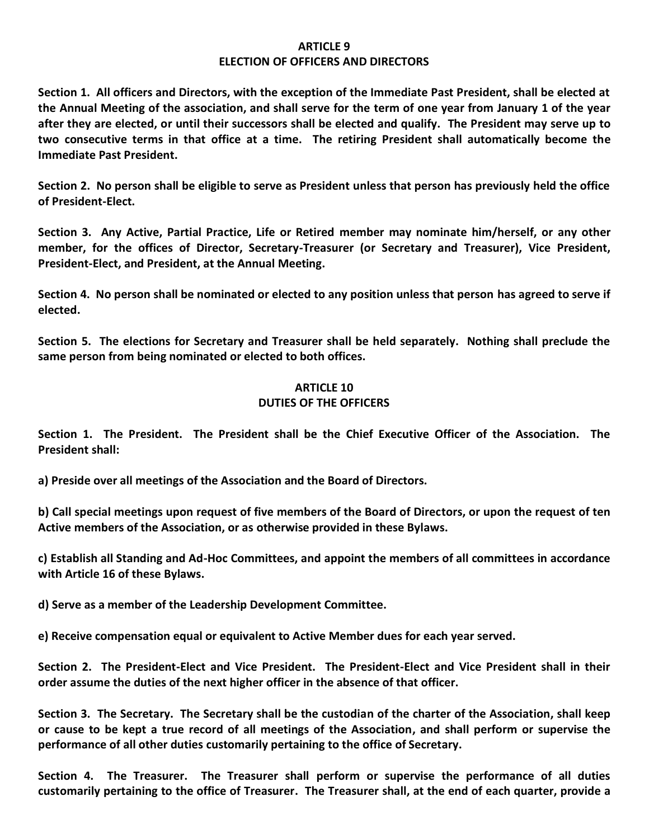#### **ARTICLE 9 ELECTION OF OFFICERS AND DIRECTORS**

**Section 1. All officers and Directors, with the exception of the Immediate Past President, shall be elected at the Annual Meeting of the association, and shall serve for the term of one year from January 1 of the year after they are elected, or until their successors shall be elected and qualify. The President may serve up to two consecutive terms in that office at a time. The retiring President shall automatically become the Immediate Past President.**

**Section 2. No person shall be eligible to serve as President unless that person has previously held the office of President-Elect.**

**Section 3. Any Active, Partial Practice, Life or Retired member may nominate him/herself, or any other member, for the offices of Director, Secretary-Treasurer (or Secretary and Treasurer), Vice President, President-Elect, and President, at the Annual Meeting.**

**Section 4. No person shall be nominated or elected to any position unless that person has agreed to serve if elected.**

**Section 5. The elections for Secretary and Treasurer shall be held separately. Nothing shall preclude the same person from being nominated or elected to both offices.**

# **ARTICLE 10 DUTIES OF THE OFFICERS**

**Section 1. The President. The President shall be the Chief Executive Officer of the Association. The President shall:**

**a) Preside over all meetings of the Association and the Board of Directors.**

**b) Call special meetings upon request of five members of the Board of Directors, or upon the request of ten Active members of the Association, or as otherwise provided in these Bylaws.**

**c) Establish all Standing and Ad-Hoc Committees, and appoint the members of all committees in accordance with Article 16 of these Bylaws.**

**d) Serve as a member of the Leadership Development Committee.**

**e) Receive compensation equal or equivalent to Active Member dues for each year served.**

**Section 2. The President-Elect and Vice President. The President-Elect and Vice President shall in their order assume the duties of the next higher officer in the absence of that officer.** 

**Section 3. The Secretary. The Secretary shall be the custodian of the charter of the Association, shall keep or cause to be kept a true record of all meetings of the Association, and shall perform or supervise the performance of all other duties customarily pertaining to the office of Secretary.** 

**Section 4. The Treasurer. The Treasurer shall perform or supervise the performance of all duties customarily pertaining to the office of Treasurer. The Treasurer shall, at the end of each quarter, provide a**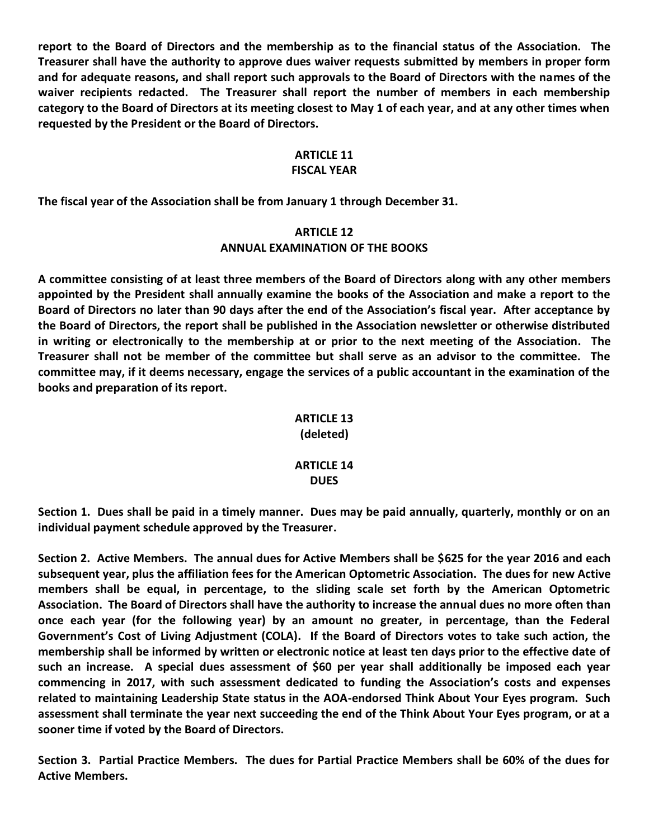**report to the Board of Directors and the membership as to the financial status of the Association. The Treasurer shall have the authority to approve dues waiver requests submitted by members in proper form and for adequate reasons, and shall report such approvals to the Board of Directors with the names of the waiver recipients redacted. The Treasurer shall report the number of members in each membership category to the Board of Directors at its meeting closest to May 1 of each year, and at any other times when requested by the President or the Board of Directors.**

# **ARTICLE 11**

#### **FISCAL YEAR**

**The fiscal year of the Association shall be from January 1 through December 31.**

# **ARTICLE 12 ANNUAL EXAMINATION OF THE BOOKS**

**A committee consisting of at least three members of the Board of Directors along with any other members appointed by the President shall annually examine the books of the Association and make a report to the Board of Directors no later than 90 days after the end of the Association's fiscal year. After acceptance by the Board of Directors, the report shall be published in the Association newsletter or otherwise distributed in writing or electronically to the membership at or prior to the next meeting of the Association. The Treasurer shall not be member of the committee but shall serve as an advisor to the committee. The committee may, if it deems necessary, engage the services of a public accountant in the examination of the books and preparation of its report.**

#### **ARTICLE 13 (deleted)**

#### **ARTICLE 14 DUES**

**Section 1. Dues shall be paid in a timely manner. Dues may be paid annually, quarterly, monthly or on an individual payment schedule approved by the Treasurer.**

**Section 2. Active Members. The annual dues for Active Members shall be \$625 for the year 2016 and each subsequent year, plus the affiliation fees for the American Optometric Association. The dues for new Active members shall be equal, in percentage, to the sliding scale set forth by the American Optometric Association. The Board of Directors shall have the authority to increase the annual dues no more often than once each year (for the following year) by an amount no greater, in percentage, than the Federal Government's Cost of Living Adjustment (COLA). If the Board of Directors votes to take such action, the membership shall be informed by written or electronic notice at least ten days prior to the effective date of such an increase. A special dues assessment of \$60 per year shall additionally be imposed each year commencing in 2017, with such assessment dedicated to funding the Association's costs and expenses related to maintaining Leadership State status in the AOA-endorsed Think About Your Eyes program. Such assessment shall terminate the year next succeeding the end of the Think About Your Eyes program, or at a sooner time if voted by the Board of Directors.** 

**Section 3. Partial Practice Members. The dues for Partial Practice Members shall be 60% of the dues for Active Members.**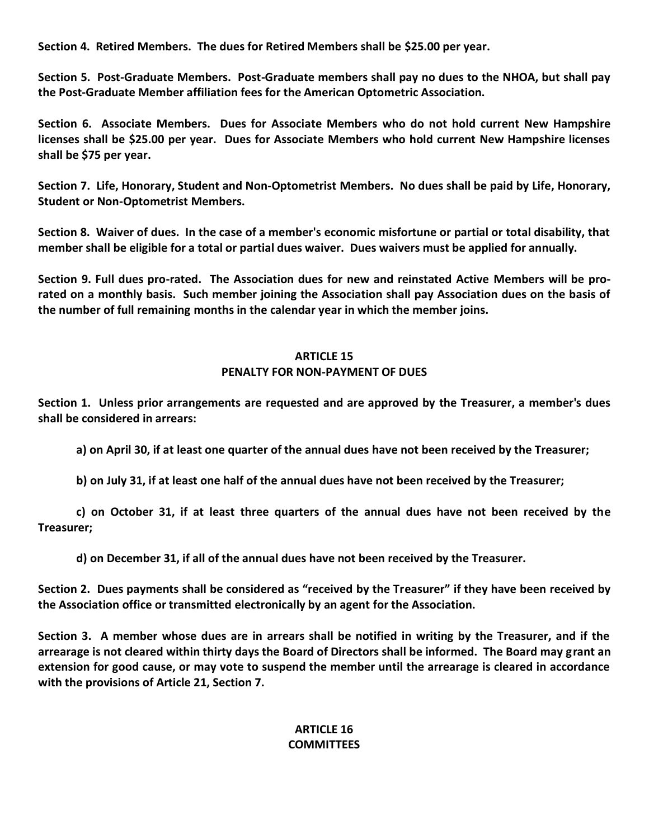**Section 4. Retired Members. The dues for Retired Members shall be \$25.00 per year.**

**Section 5. Post-Graduate Members. Post-Graduate members shall pay no dues to the NHOA, but shall pay the Post-Graduate Member affiliation fees for the American Optometric Association.**

**Section 6. Associate Members. Dues for Associate Members who do not hold current New Hampshire licenses shall be \$25.00 per year. Dues for Associate Members who hold current New Hampshire licenses shall be \$75 per year.**

**Section 7. Life, Honorary, Student and Non-Optometrist Members. No dues shall be paid by Life, Honorary, Student or Non-Optometrist Members.**

**Section 8. Waiver of dues. In the case of a member's economic misfortune or partial or total disability, that member shall be eligible for a total or partial dues waiver. Dues waivers must be applied for annually.**

**Section 9. Full dues pro-rated. The Association dues for new and reinstated Active Members will be prorated on a monthly basis. Such member joining the Association shall pay Association dues on the basis of the number of full remaining months in the calendar year in which the member joins.**

#### **ARTICLE 15 PENALTY FOR NON-PAYMENT OF DUES**

**Section 1. Unless prior arrangements are requested and are approved by the Treasurer, a member's dues shall be considered in arrears:**

**a) on April 30, if at least one quarter of the annual dues have not been received by the Treasurer;**

**b) on July 31, if at least one half of the annual dues have not been received by the Treasurer;**

**c) on October 31, if at least three quarters of the annual dues have not been received by the Treasurer;**

**d) on December 31, if all of the annual dues have not been received by the Treasurer.**

**Section 2. Dues payments shall be considered as "received by the Treasurer" if they have been received by the Association office or transmitted electronically by an agent for the Association.**

**Section 3. A member whose dues are in arrears shall be notified in writing by the Treasurer, and if the arrearage is not cleared within thirty days the Board of Directors shall be informed. The Board may grant an extension for good cause, or may vote to suspend the member until the arrearage is cleared in accordance with the provisions of Article 21, Section 7.**

# **ARTICLE 16 COMMITTEES**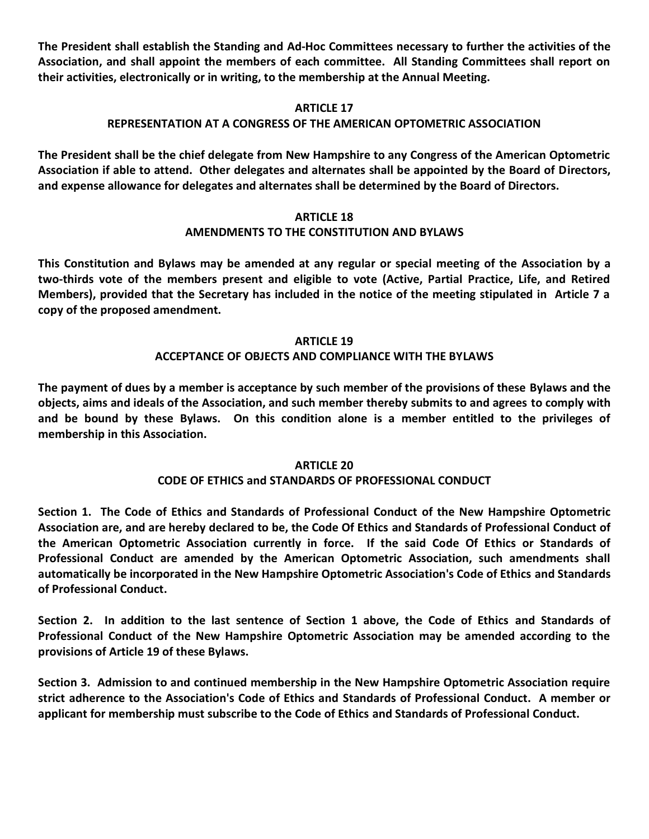**The President shall establish the Standing and Ad-Hoc Committees necessary to further the activities of the Association, and shall appoint the members of each committee. All Standing Committees shall report on their activities, electronically or in writing, to the membership at the Annual Meeting.**

# **ARTICLE 17**

# **REPRESENTATION AT A CONGRESS OF THE AMERICAN OPTOMETRIC ASSOCIATION**

**The President shall be the chief delegate from New Hampshire to any Congress of the American Optometric Association if able to attend. Other delegates and alternates shall be appointed by the Board of Directors, and expense allowance for delegates and alternates shall be determined by the Board of Directors.**

# **ARTICLE 18**

# **AMENDMENTS TO THE CONSTITUTION AND BYLAWS**

**This Constitution and Bylaws may be amended at any regular or special meeting of the Association by a two-thirds vote of the members present and eligible to vote (Active, Partial Practice, Life, and Retired Members), provided that the Secretary has included in the notice of the meeting stipulated in Article 7 a copy of the proposed amendment.**

#### **ARTICLE 19**

# **ACCEPTANCE OF OBJECTS AND COMPLIANCE WITH THE BYLAWS**

**The payment of dues by a member is acceptance by such member of the provisions of these Bylaws and the objects, aims and ideals of the Association, and such member thereby submits to and agrees to comply with and be bound by these Bylaws. On this condition alone is a member entitled to the privileges of membership in this Association.**

#### **ARTICLE 20**

# **CODE OF ETHICS and STANDARDS OF PROFESSIONAL CONDUCT**

**Section 1. The Code of Ethics and Standards of Professional Conduct of the New Hampshire Optometric Association are, and are hereby declared to be, the Code Of Ethics and Standards of Professional Conduct of the American Optometric Association currently in force. If the said Code Of Ethics or Standards of Professional Conduct are amended by the American Optometric Association, such amendments shall automatically be incorporated in the New Hampshire Optometric Association's Code of Ethics and Standards of Professional Conduct.**

**Section 2. In addition to the last sentence of Section 1 above, the Code of Ethics and Standards of Professional Conduct of the New Hampshire Optometric Association may be amended according to the provisions of Article 19 of these Bylaws.**

**Section 3. Admission to and continued membership in the New Hampshire Optometric Association require strict adherence to the Association's Code of Ethics and Standards of Professional Conduct. A member or applicant for membership must subscribe to the Code of Ethics and Standards of Professional Conduct.**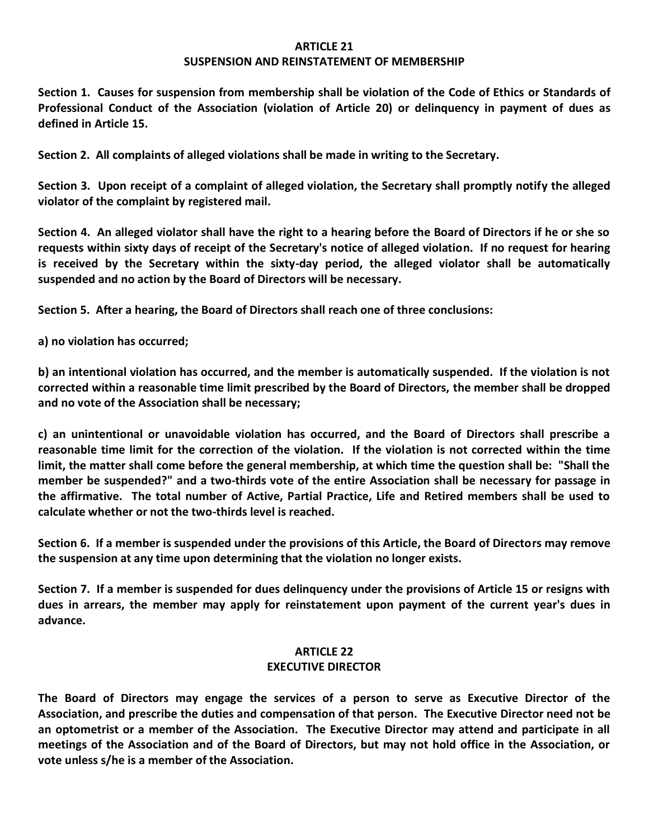#### **ARTICLE 21**

#### **SUSPENSION AND REINSTATEMENT OF MEMBERSHIP**

**Section 1. Causes for suspension from membership shall be violation of the Code of Ethics or Standards of Professional Conduct of the Association (violation of Article 20) or delinquency in payment of dues as defined in Article 15.**

**Section 2. All complaints of alleged violations shall be made in writing to the Secretary.**

**Section 3. Upon receipt of a complaint of alleged violation, the Secretary shall promptly notify the alleged violator of the complaint by registered mail.**

**Section 4. An alleged violator shall have the right to a hearing before the Board of Directors if he or she so requests within sixty days of receipt of the Secretary's notice of alleged violation. If no request for hearing is received by the Secretary within the sixty-day period, the alleged violator shall be automatically suspended and no action by the Board of Directors will be necessary.**

**Section 5. After a hearing, the Board of Directors shall reach one of three conclusions:**

**a) no violation has occurred;**

**b) an intentional violation has occurred, and the member is automatically suspended. If the violation is not corrected within a reasonable time limit prescribed by the Board of Directors, the member shall be dropped and no vote of the Association shall be necessary;**

**c) an unintentional or unavoidable violation has occurred, and the Board of Directors shall prescribe a reasonable time limit for the correction of the violation. If the violation is not corrected within the time limit, the matter shall come before the general membership, at which time the question shall be: "Shall the member be suspended?" and a two-thirds vote of the entire Association shall be necessary for passage in the affirmative. The total number of Active, Partial Practice, Life and Retired members shall be used to calculate whether or not the two-thirds level is reached.**

**Section 6. If a member is suspended under the provisions of this Article, the Board of Directors may remove the suspension at any time upon determining that the violation no longer exists.**

**Section 7. If a member is suspended for dues delinquency under the provisions of Article 15 or resigns with dues in arrears, the member may apply for reinstatement upon payment of the current year's dues in advance.**

#### **ARTICLE 22**

#### **EXECUTIVE DIRECTOR**

**The Board of Directors may engage the services of a person to serve as Executive Director of the Association, and prescribe the duties and compensation of that person. The Executive Director need not be an optometrist or a member of the Association. The Executive Director may attend and participate in all meetings of the Association and of the Board of Directors, but may not hold office in the Association, or vote unless s/he is a member of the Association.**